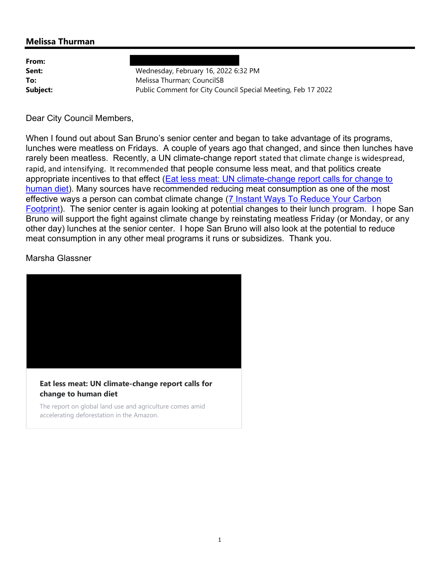## Melissa Thurman

From:

Sent: Wednesday, February 16, 2022 6:32 PM **To:** Melissa Thurman: CouncilSB Subject: **Public Comment for City Council Special Meeting, Feb 17 2022** 

Dear City Council Members,

When I found out about San Bruno's senior center and began to take advantage of its programs, lunches were meatless on Fridays. A couple of years ago that changed, and since then lunches have rarely been meatless. Recently, a UN climate-change report stated that climate change is widespread, rapid, and intensifying. It recommended that people consume less meat, and that politics create appropriate incentives to that effect (Eat less meat: UN climate-change report calls for change to human diet). Many sources have recommended reducing meat consumption as one of the most effective ways a person can combat climate change (7 Instant Ways To Reduce Your Carbon Footprint). The senior center is again looking at potential changes to their lunch program. I hope San Bruno will support the fight against climate change by reinstating meatless Friday (or Monday, or any other day) lunches at the senior center. I hope San Bruno will also look at the potential to reduce meat consumption in any other meal programs it runs or subsidizes. Thank you.

Marsha Glassner



Eat less meat: UN climate-change report calls for change to human diet

The report on global land use and agriculture comes amid accelerating deforestation in the Amazon.